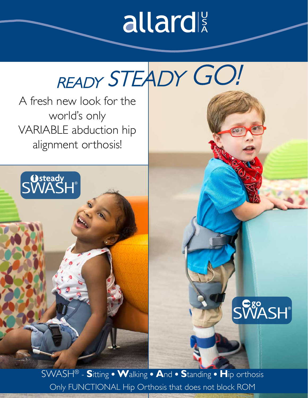## allard

# READY STEADY GO!

A fresh new look for the world's only VARIABLE abduction hip alignment orthosis!

**O**steady



SWASH® - **S**itting **W**alking **A**nd **S**tanding **H**ip orthosis Only FUNCTIONAL Hip Orthosis that does not block ROM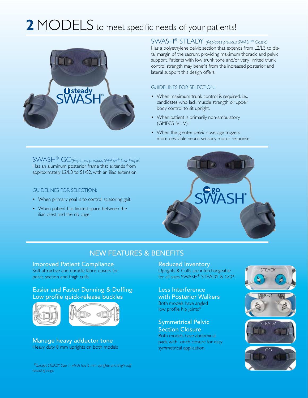## **2** MODELS to meet specific needs of your patients!



#### SWASH® STEADY *(Replaces previous SWASH® Classic)*

Has a polyethylene pelvic section that extends from L2/L3 to distal margin of the sacrum, providing maximum thoracic and pelvic support. Patients with low trunk tone and/or very limited trunk control strength may benefit from the increased posterior and lateral support this design offers.

#### GUIDELINES FOR SELECTION:

- When maximum trunk control is required, i.e., candidates who lack muscle strength or upper body control to sit upright.
- When patient is primarily non-ambulatory (GMFCS IV - V)
- When the greater pelvic coverage triggers more desirable neuro-sensory motor response.

SWASH® GO *(Replaces previous SWASH® Low Profile)* Has an aluminum posterior frame that extends from approximately L2/L3 to S1/S2, with an iliac extension.

#### GUIDELINES FOR SELECTION:

- When primary goal is to control scissoring gait.
- When patient has limited space between the iliac crest and the rib cage.



#### NEW FEATURES & BENEFITS

Improved Patient Compliance Soft attractive and durable fabric covers for pelvic section and thigh cuffs.

#### Easier and Faster Donning & Doffing Low profile quick-release buckles



Manage heavy adductor tone Heavy duty 8 mm uprights on both models

Reduced Inventory Uprights & Cuffs are interchangeable for all sizes SWASH® STEADY & GO\*.

Less Interference with Posterior Walkers Both models have angled low profile hip joints\*

#### Symmetrical Pelvic

Section Closure Both models have abdominal pads with cinch closure for easy symmetrical application.









*\* Except STEADY Size 1, which has 6 mm uprights and thigh cuff retaining rings.*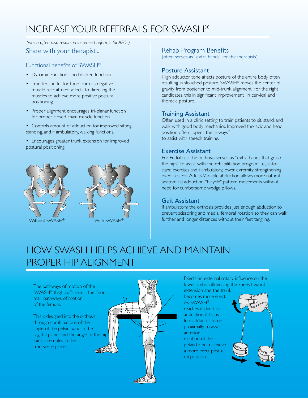### INCREASE YOUR REFERRALS FOR SWASH®

Share with your therapist... *(which often also results in increased referrals for AFOs)*

#### Functional benefits of SWASH®

- Dynamic Function no blocked function.
- Transfers adductor tone from its negative muscle recruitment affects to directing the muscles to achieve more positive postural positioning.
- Proper alignment encourages tri-planar function for proper closed chain muscle function.
- Controls amount of adduction for improved sitting, standing, and if ambulatory, walking functions.
- Encourages greater trunk extension for improved postural positioning.





#### Rehab Program Benefits

(often serves as "extra hands" for the therapists)

#### Posture Assistant

High adductor tone affects posture of the entire body, often resulting in slouched posture. SWASH® moves the center of gravity from posterior to mid-trunk alignment. For the right candidates, this in significant improvement in cervical and thoracic posture.

#### Training Assistant

Often used in a clinic setting to train patients to sit, stand, and walk with good body mechanics. Improved thoracic and head position often "opens the airways" to assist with speech training.

#### Exercise Assistant

For Pediatrics: The orthosis serves as "extra hands that grasp the hips" to assist with the rehabilitation program, i.e., sit-tostand exercises and if ambulatory, lower exremity strengthening exercises. For Adults: Variable abduction allows more natural anatomical adduction "bicycle" pattern movements without need for cumbersome wedge pillows.

#### Gait Assistant

If ambulatory, the orthosis provides just enough abduction to prevent scissoring and medial femoral rotation so they can walk further and longer distances without their feet tangling.

### HOW SWASH HELPS ACHIEVE AND MAINTAIN PROPER HIP ALIGNMENT

The pathways of motion of the SWASH® thigh cuffs mimic the "normal" pathways of motion of the femurs.

This is designed into the orthosis through combinations of the angle of the pelvic band in the sagittal plane, and the angle of the hip joint assembles in the transverse plane.



Exerts an external rotary influence on the lower limbs, influencing the knees toward

extension and the trunk becomes more erect. As SWASH® reaches its limit for adduction, it transfers adductor force proximally to assist anterior rotation of the pelvis to help achieve a more erect postural position.